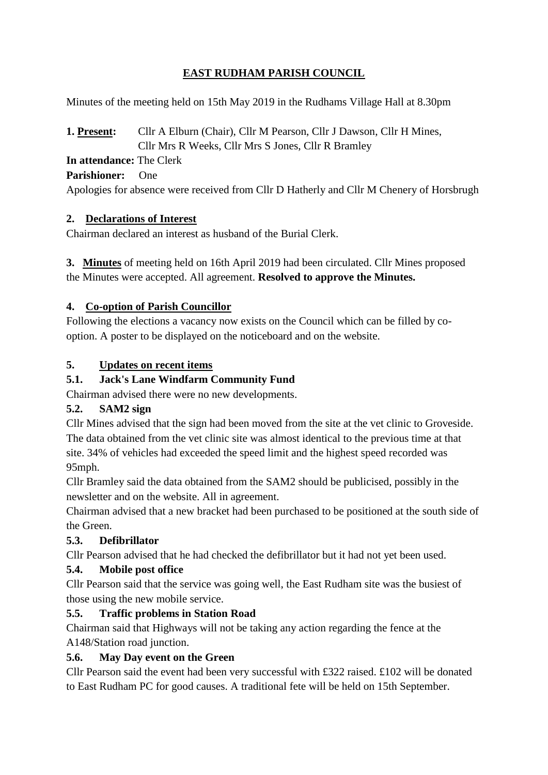# **EAST RUDHAM PARISH COUNCIL**

Minutes of the meeting held on 15th May 2019 in the Rudhams Village Hall at 8.30pm

**1. Present:** Cllr A Elburn (Chair), Cllr M Pearson, Cllr J Dawson, Cllr H Mines, Cllr Mrs R Weeks, Cllr Mrs S Jones, Cllr R Bramley

### **In attendance:** The Clerk

### **Parishioner:** One

Apologies for absence were received from Cllr D Hatherly and Cllr M Chenery of Horsbrugh

# **2. Declarations of Interest**

Chairman declared an interest as husband of the Burial Clerk.

**3. Minutes** of meeting held on 16th April 2019 had been circulated. Cllr Mines proposed the Minutes were accepted. All agreement. **Resolved to approve the Minutes.**

# **4. Co-option of Parish Councillor**

Following the elections a vacancy now exists on the Council which can be filled by cooption. A poster to be displayed on the noticeboard and on the website.

### **5. Updates on recent items**

# **5.1. Jack's Lane Windfarm Community Fund**

Chairman advised there were no new developments.

# **5.2. SAM2 sign**

Cllr Mines advised that the sign had been moved from the site at the vet clinic to Groveside. The data obtained from the vet clinic site was almost identical to the previous time at that site. 34% of vehicles had exceeded the speed limit and the highest speed recorded was 95mph.

Cllr Bramley said the data obtained from the SAM2 should be publicised, possibly in the newsletter and on the website. All in agreement.

Chairman advised that a new bracket had been purchased to be positioned at the south side of the Green.

# **5.3. Defibrillator**

Cllr Pearson advised that he had checked the defibrillator but it had not yet been used.

# **5.4. Mobile post office**

Cllr Pearson said that the service was going well, the East Rudham site was the busiest of those using the new mobile service.

# **5.5. Traffic problems in Station Road**

Chairman said that Highways will not be taking any action regarding the fence at the A148/Station road junction.

# **5.6. May Day event on the Green**

Cllr Pearson said the event had been very successful with £322 raised. £102 will be donated to East Rudham PC for good causes. A traditional fete will be held on 15th September.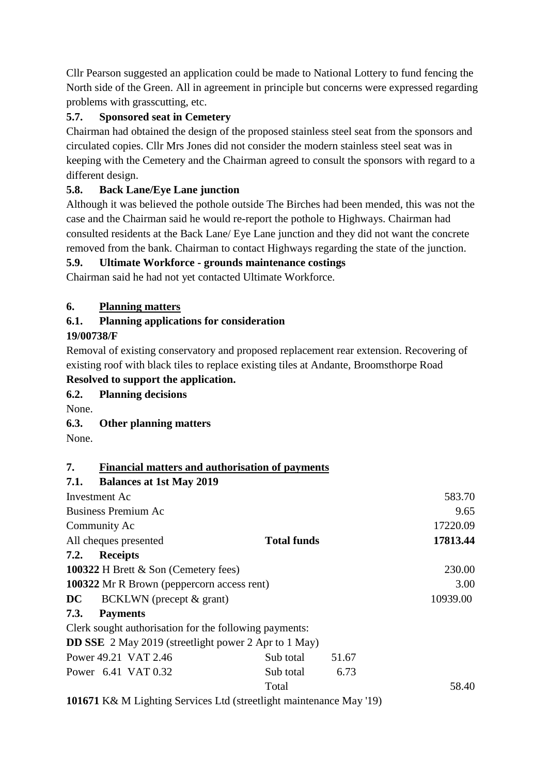Cllr Pearson suggested an application could be made to National Lottery to fund fencing the North side of the Green. All in agreement in principle but concerns were expressed regarding problems with grasscutting, etc.

# **5.7. Sponsored seat in Cemetery**

Chairman had obtained the design of the proposed stainless steel seat from the sponsors and circulated copies. Cllr Mrs Jones did not consider the modern stainless steel seat was in keeping with the Cemetery and the Chairman agreed to consult the sponsors with regard to a different design.

# **5.8. Back Lane/Eye Lane junction**

Although it was believed the pothole outside The Birches had been mended, this was not the case and the Chairman said he would re-report the pothole to Highways. Chairman had consulted residents at the Back Lane/ Eye Lane junction and they did not want the concrete removed from the bank. Chairman to contact Highways regarding the state of the junction.

### **5.9. Ultimate Workforce - grounds maintenance costings**

Chairman said he had not yet contacted Ultimate Workforce.

# **6. Planning matters**

### **6.1. Planning applications for consideration**

# **19/00738/F**

Removal of existing conservatory and proposed replacement rear extension. Recovering of existing roof with black tiles to replace existing tiles at Andante, Broomsthorpe Road

### **Resolved to support the application.**

**6.2. Planning decisions**

None.

- **6.3. Other planning matters**
- None.

### **7. Financial matters and authorisation of payments**

| 7.1. Balances at 1st May 2019                                       |                    |       |          |
|---------------------------------------------------------------------|--------------------|-------|----------|
| Investment Ac                                                       |                    |       | 583.70   |
| Business Premium Ac                                                 |                    |       | 9.65     |
| Community Ac                                                        |                    |       | 17220.09 |
| All cheques presented                                               | <b>Total funds</b> |       | 17813.44 |
| 7.2.<br><b>Receipts</b>                                             |                    |       |          |
| 100322 H Brett & Son (Cemetery fees)                                |                    |       | 230.00   |
| 100322 Mr R Brown (peppercorn access rent)                          |                    |       | 3.00     |
| $DC$ BCKLWN (precept $\&$ grant)                                    |                    |       | 10939.00 |
| 7.3.<br><b>Payments</b>                                             |                    |       |          |
| Clerk sought authorisation for the following payments:              |                    |       |          |
| <b>DD SSE</b> 2 May 2019 (streetlight power 2 Apr to 1 May)         |                    |       |          |
| Power 49.21 VAT 2.46                                                | Sub total          | 51.67 |          |
| Power 6.41 VAT 0.32                                                 | Sub total          | 6.73  |          |
|                                                                     | Total              |       | 58.40    |
| 101671 K& M Lighting Services Ltd (streetlight maintenance May '19) |                    |       |          |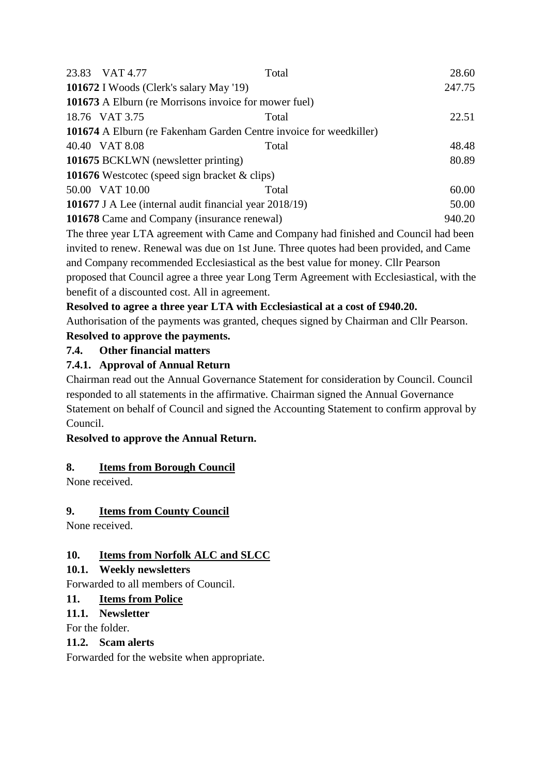|                                                                                       | 23.83 VAT 4.77                                     | Total | 28.60  |  |
|---------------------------------------------------------------------------------------|----------------------------------------------------|-------|--------|--|
|                                                                                       | 101672 I Woods (Clerk's salary May '19)            |       | 247.75 |  |
| <b>101673</b> A Elburn (re Morrisons invoice for mower fuel)                          |                                                    |       |        |  |
|                                                                                       | 18.76 VAT 3.75                                     | Total | 22.51  |  |
| <b>101674</b> A Elburn (re Fakenham Garden Centre invoice for weedkiller)             |                                                    |       |        |  |
|                                                                                       | 40.40 VAT 8.08                                     | Total | 48.48  |  |
| 101675 BCKLWN (newsletter printing)                                                   |                                                    |       | 80.89  |  |
| <b>101676</b> Westcotec (speed sign bracket $\&$ clips)                               |                                                    |       |        |  |
|                                                                                       | 50.00 VAT 10.00                                    | Total | 60.00  |  |
| 101677 J A Lee (internal audit financial year 2018/19)                                |                                                    |       | 50.00  |  |
|                                                                                       | <b>101678</b> Came and Company (insurance renewal) |       | 940.20 |  |
| The thuse wear LTA, consensus with Come and Company had finished and Council had been |                                                    |       |        |  |

The three year LTA agreement with Came and Company had finished and Council had been invited to renew. Renewal was due on 1st June. Three quotes had been provided, and Came and Company recommended Ecclesiastical as the best value for money. Cllr Pearson proposed that Council agree a three year Long Term Agreement with Ecclesiastical, with the benefit of a discounted cost. All in agreement.

### **Resolved to agree a three year LTA with Ecclesiastical at a cost of £940.20.**

Authorisation of the payments was granted, cheques signed by Chairman and Cllr Pearson.

# **Resolved to approve the payments.**

# **7.4. Other financial matters**

#### **7.4.1. Approval of Annual Return**

Chairman read out the Annual Governance Statement for consideration by Council. Council responded to all statements in the affirmative. Chairman signed the Annual Governance Statement on behalf of Council and signed the Accounting Statement to confirm approval by Council.

### **Resolved to approve the Annual Return.**

### **8. Items from Borough Council**

None received.

### **9. Items from County Council**

None received.

### **10. Items from Norfolk ALC and SLCC**

### **10.1. Weekly newsletters**

Forwarded to all members of Council.

### **11. Items from Police**

**11.1. Newsletter**

For the folder.

#### **11.2. Scam alerts**

Forwarded for the website when appropriate.